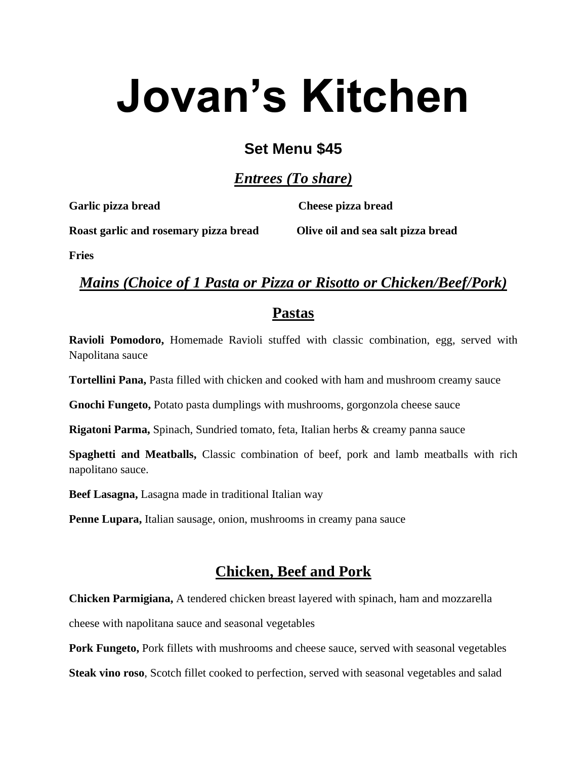# **Jovan's Kitchen**

## **Set Menu \$45**

*Entrees (To share)*

**Garlic pizza bread Cheese pizza bread**

**Roast garlic and rosemary pizza bread Olive oil and sea salt pizza bread**

**Fries**

## *Mains (Choice of 1 Pasta or Pizza or Risotto or Chicken/Beef/Pork)*

#### **Pastas**

**Ravioli Pomodoro,** Homemade Ravioli stuffed with classic combination, egg, served with Napolitana sauce

**Tortellini Pana,** Pasta filled with chicken and cooked with ham and mushroom creamy sauce

**Gnochi Fungeto,** Potato pasta dumplings with mushrooms, gorgonzola cheese sauce

**Rigatoni Parma,** Spinach, Sundried tomato, feta, Italian herbs & creamy panna sauce

**Spaghetti and Meatballs,** Classic combination of beef, pork and lamb meatballs with rich napolitano sauce.

**Beef Lasagna,** Lasagna made in traditional Italian way

**Penne Lupara,** Italian sausage, onion, mushrooms in creamy pana sauce

## **Chicken, Beef and Pork**

**Chicken Parmigiana,** A tendered chicken breast layered with spinach, ham and mozzarella

cheese with napolitana sauce and seasonal vegetables

**Pork Fungeto,** Pork fillets with mushrooms and cheese sauce, served with seasonal vegetables

**Steak vino roso**, Scotch fillet cooked to perfection, served with seasonal vegetables and salad